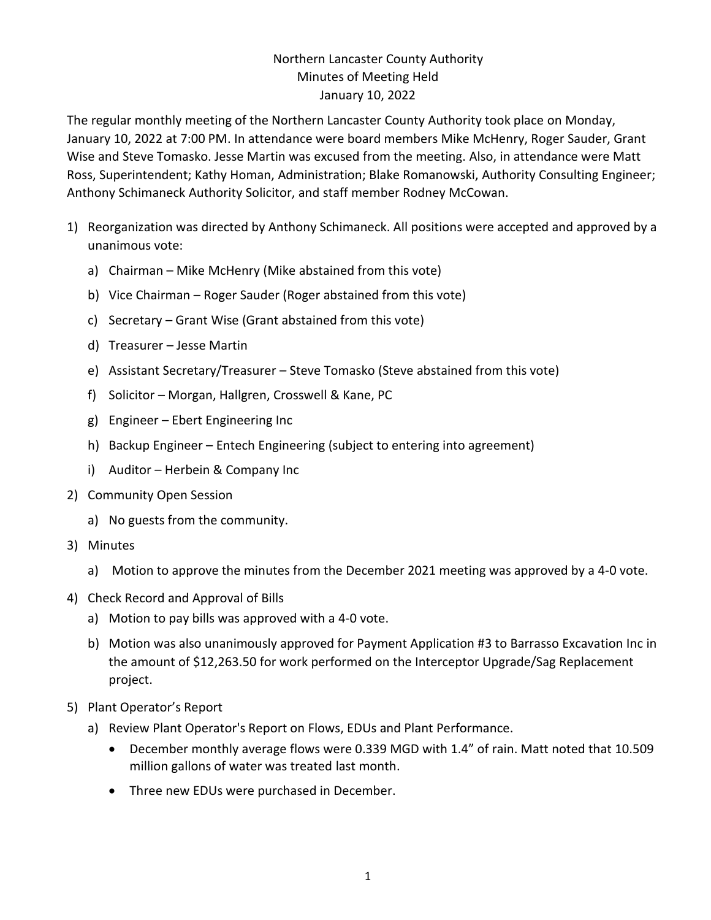## Northern Lancaster County Authority Minutes of Meeting Held January 10, 2022

The regular monthly meeting of the Northern Lancaster County Authority took place on Monday, January 10, 2022 at 7:00 PM. In attendance were board members Mike McHenry, Roger Sauder, Grant Wise and Steve Tomasko. Jesse Martin was excused from the meeting. Also, in attendance were Matt Ross, Superintendent; Kathy Homan, Administration; Blake Romanowski, Authority Consulting Engineer; Anthony Schimaneck Authority Solicitor, and staff member Rodney McCowan.

- 1) Reorganization was directed by Anthony Schimaneck. All positions were accepted and approved by a unanimous vote:
	- a) Chairman Mike McHenry (Mike abstained from this vote)
	- b) Vice Chairman Roger Sauder (Roger abstained from this vote)
	- c) Secretary Grant Wise (Grant abstained from this vote)
	- d) Treasurer Jesse Martin
	- e) Assistant Secretary/Treasurer Steve Tomasko (Steve abstained from this vote)
	- f) Solicitor Morgan, Hallgren, Crosswell & Kane, PC
	- g) Engineer Ebert Engineering Inc
	- h) Backup Engineer Entech Engineering (subject to entering into agreement)
	- i) Auditor Herbein & Company Inc
- 2) Community Open Session
	- a) No guests from the community.
- 3) Minutes
	- a) Motion to approve the minutes from the December 2021 meeting was approved by a 4-0 vote.
- 4) Check Record and Approval of Bills
	- a) Motion to pay bills was approved with a 4-0 vote.
	- b) Motion was also unanimously approved for Payment Application #3 to Barrasso Excavation Inc in the amount of \$12,263.50 for work performed on the Interceptor Upgrade/Sag Replacement project.
- 5) Plant Operator's Report
	- a) Review Plant Operator's Report on Flows, EDUs and Plant Performance.
		- December monthly average flows were 0.339 MGD with 1.4" of rain. Matt noted that 10.509 million gallons of water was treated last month.
		- Three new EDUs were purchased in December.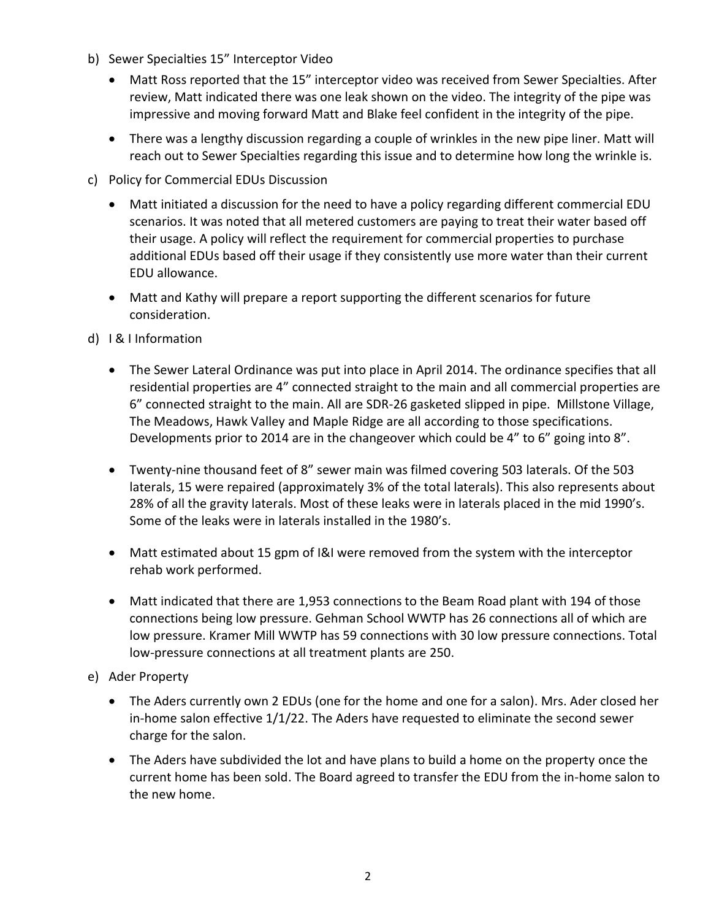- b) Sewer Specialties 15" Interceptor Video
	- Matt Ross reported that the 15" interceptor video was received from Sewer Specialties. After review, Matt indicated there was one leak shown on the video. The integrity of the pipe was impressive and moving forward Matt and Blake feel confident in the integrity of the pipe.
	- There was a lengthy discussion regarding a couple of wrinkles in the new pipe liner. Matt will reach out to Sewer Specialties regarding this issue and to determine how long the wrinkle is.
- c) Policy for Commercial EDUs Discussion
	- Matt initiated a discussion for the need to have a policy regarding different commercial EDU scenarios. It was noted that all metered customers are paying to treat their water based off their usage. A policy will reflect the requirement for commercial properties to purchase additional EDUs based off their usage if they consistently use more water than their current EDU allowance.
	- Matt and Kathy will prepare a report supporting the different scenarios for future consideration.
- d) I & I Information
	- The Sewer Lateral Ordinance was put into place in April 2014. The ordinance specifies that all residential properties are 4" connected straight to the main and all commercial properties are 6" connected straight to the main. All are SDR-26 gasketed slipped in pipe. Millstone Village, The Meadows, Hawk Valley and Maple Ridge are all according to those specifications. Developments prior to 2014 are in the changeover which could be 4" to 6" going into 8".
	- Twenty-nine thousand feet of 8" sewer main was filmed covering 503 laterals. Of the 503 laterals, 15 were repaired (approximately 3% of the total laterals). This also represents about 28% of all the gravity laterals. Most of these leaks were in laterals placed in the mid 1990's. Some of the leaks were in laterals installed in the 1980's.
	- Matt estimated about 15 gpm of I&I were removed from the system with the interceptor rehab work performed.
	- Matt indicated that there are 1,953 connections to the Beam Road plant with 194 of those connections being low pressure. Gehman School WWTP has 26 connections all of which are low pressure. Kramer Mill WWTP has 59 connections with 30 low pressure connections. Total low-pressure connections at all treatment plants are 250.
- e) Ader Property
	- The Aders currently own 2 EDUs (one for the home and one for a salon). Mrs. Ader closed her in-home salon effective  $1/1/22$ . The Aders have requested to eliminate the second sewer charge for the salon.
	- The Aders have subdivided the lot and have plans to build a home on the property once the current home has been sold. The Board agreed to transfer the EDU from the in-home salon to the new home.